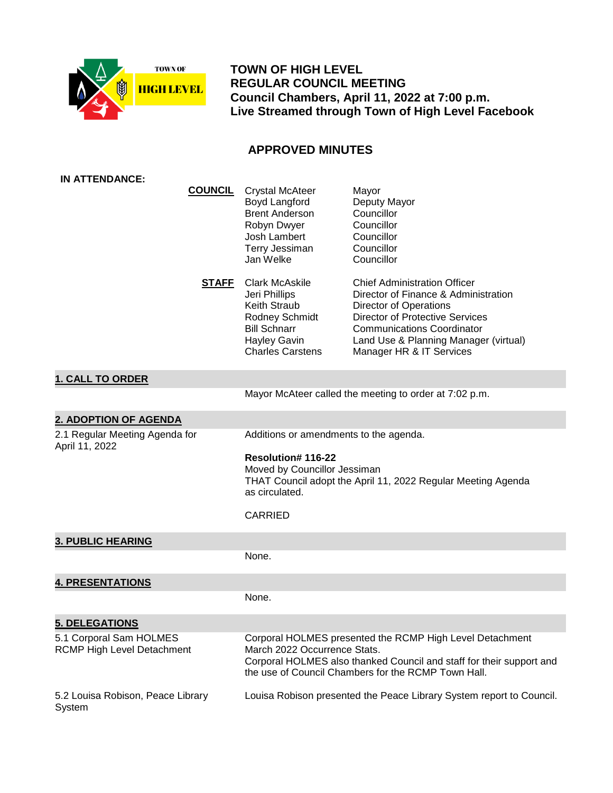

 **TOWN OF HIGH LEVEL REGULAR COUNCIL MEETING Council Chambers, April 11, 2022 at 7:00 p.m. Live Streamed through Town of High Level Facebook**

# **APPROVED MINUTES**

| <b>IN ATTENDANCE:</b>                                        |                |                                                                                                                                                                                           |                                                                                                                                                                                                                                                                  |
|--------------------------------------------------------------|----------------|-------------------------------------------------------------------------------------------------------------------------------------------------------------------------------------------|------------------------------------------------------------------------------------------------------------------------------------------------------------------------------------------------------------------------------------------------------------------|
|                                                              | <b>COUNCIL</b> | <b>Crystal McAteer</b><br>Boyd Langford<br><b>Brent Anderson</b><br>Robyn Dwyer<br>Josh Lambert<br>Terry Jessiman<br>Jan Welke                                                            | Mayor<br>Deputy Mayor<br>Councillor<br>Councillor<br>Councillor<br>Councillor<br>Councillor                                                                                                                                                                      |
|                                                              | <b>STAFF</b>   | <b>Clark McAskile</b><br>Jeri Phillips<br>Keith Straub<br>Rodney Schmidt<br><b>Bill Schnarr</b><br><b>Hayley Gavin</b><br><b>Charles Carstens</b>                                         | <b>Chief Administration Officer</b><br>Director of Finance & Administration<br><b>Director of Operations</b><br><b>Director of Protective Services</b><br><b>Communications Coordinator</b><br>Land Use & Planning Manager (virtual)<br>Manager HR & IT Services |
| <b>1. CALL TO ORDER</b>                                      |                |                                                                                                                                                                                           |                                                                                                                                                                                                                                                                  |
|                                                              |                |                                                                                                                                                                                           | Mayor McAteer called the meeting to order at 7:02 p.m.                                                                                                                                                                                                           |
| 2. ADOPTION OF AGENDA                                        |                |                                                                                                                                                                                           |                                                                                                                                                                                                                                                                  |
| 2.1 Regular Meeting Agenda for<br>April 11, 2022             |                | Additions or amendments to the agenda.<br>Resolution# 116-22<br>Moved by Councillor Jessiman<br>THAT Council adopt the April 11, 2022 Regular Meeting Agenda<br>as circulated.<br>CARRIED |                                                                                                                                                                                                                                                                  |
| <b>3. PUBLIC HEARING</b>                                     |                |                                                                                                                                                                                           |                                                                                                                                                                                                                                                                  |
|                                                              |                | None.                                                                                                                                                                                     |                                                                                                                                                                                                                                                                  |
| <b>4. PRESENTATIONS</b>                                      |                |                                                                                                                                                                                           |                                                                                                                                                                                                                                                                  |
|                                                              |                | None.                                                                                                                                                                                     |                                                                                                                                                                                                                                                                  |
| 5. DELEGATIONS                                               |                |                                                                                                                                                                                           |                                                                                                                                                                                                                                                                  |
| 5.1 Corporal Sam HOLMES<br><b>RCMP High Level Detachment</b> |                | March 2022 Occurrence Stats.                                                                                                                                                              | Corporal HOLMES presented the RCMP High Level Detachment<br>Corporal HOLMES also thanked Council and staff for their support and<br>the use of Council Chambers for the RCMP Town Hall.                                                                          |
| 5.2 Louisa Robison, Peace Library<br>System                  |                |                                                                                                                                                                                           | Louisa Robison presented the Peace Library System report to Council.                                                                                                                                                                                             |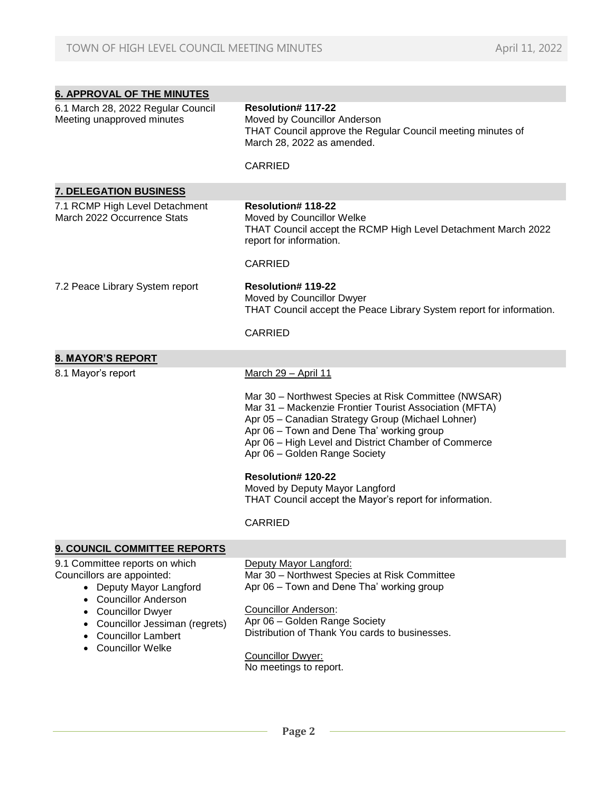| <b>6. APPROVAL OF THE MINUTES</b>                                                                                                                             |                                                                                                                                                                                                                                                                                                           |
|---------------------------------------------------------------------------------------------------------------------------------------------------------------|-----------------------------------------------------------------------------------------------------------------------------------------------------------------------------------------------------------------------------------------------------------------------------------------------------------|
| 6.1 March 28, 2022 Regular Council<br>Meeting unapproved minutes                                                                                              | Resolution# 117-22<br>Moved by Councillor Anderson<br>THAT Council approve the Regular Council meeting minutes of<br>March 28, 2022 as amended.                                                                                                                                                           |
|                                                                                                                                                               | <b>CARRIED</b>                                                                                                                                                                                                                                                                                            |
| <b>7. DELEGATION BUSINESS</b>                                                                                                                                 |                                                                                                                                                                                                                                                                                                           |
| 7.1 RCMP High Level Detachment<br>March 2022 Occurrence Stats                                                                                                 | <b>Resolution#118-22</b><br>Moved by Councillor Welke<br>THAT Council accept the RCMP High Level Detachment March 2022<br>report for information.                                                                                                                                                         |
|                                                                                                                                                               | <b>CARRIED</b>                                                                                                                                                                                                                                                                                            |
| 7.2 Peace Library System report                                                                                                                               | Resolution# 119-22<br>Moved by Councillor Dwyer<br>THAT Council accept the Peace Library System report for information.                                                                                                                                                                                   |
|                                                                                                                                                               | <b>CARRIED</b>                                                                                                                                                                                                                                                                                            |
| <b>8. MAYOR'S REPORT</b>                                                                                                                                      |                                                                                                                                                                                                                                                                                                           |
| 8.1 Mayor's report                                                                                                                                            | March 29 - April 11                                                                                                                                                                                                                                                                                       |
|                                                                                                                                                               | Mar 30 - Northwest Species at Risk Committee (NWSAR)<br>Mar 31 - Mackenzie Frontier Tourist Association (MFTA)<br>Apr 05 - Canadian Strategy Group (Michael Lohner)<br>Apr 06 - Town and Dene Tha' working group<br>Apr 06 - High Level and District Chamber of Commerce<br>Apr 06 - Golden Range Society |
|                                                                                                                                                               | Resolution# 120-22<br>Moved by Deputy Mayor Langford<br>THAT Council accept the Mayor's report for information.                                                                                                                                                                                           |
|                                                                                                                                                               | <b>CARRIED</b>                                                                                                                                                                                                                                                                                            |
| 9. COUNCIL COMMITTEE REPORTS                                                                                                                                  |                                                                                                                                                                                                                                                                                                           |
| 9.1 Committee reports on which<br>Councillors are appointed:<br>• Deputy Mayor Langford<br><b>Councillor Anderson</b><br>$\bullet$<br><b>Councillor Dwyer</b> | Deputy Mayor Langford:<br>Mar 30 - Northwest Species at Risk Committee<br>Apr 06 - Town and Dene Tha' working group<br><b>Councillor Anderson:</b><br>Apr 06 - Golden Range Society                                                                                                                       |
| Councillor Jessiman (regrets)<br><b>Councillor Lambert</b><br><b>Councillor Welke</b>                                                                         | Distribution of Thank You cards to businesses.<br>Councillor Dwyer:<br>No meetings to report.                                                                                                                                                                                                             |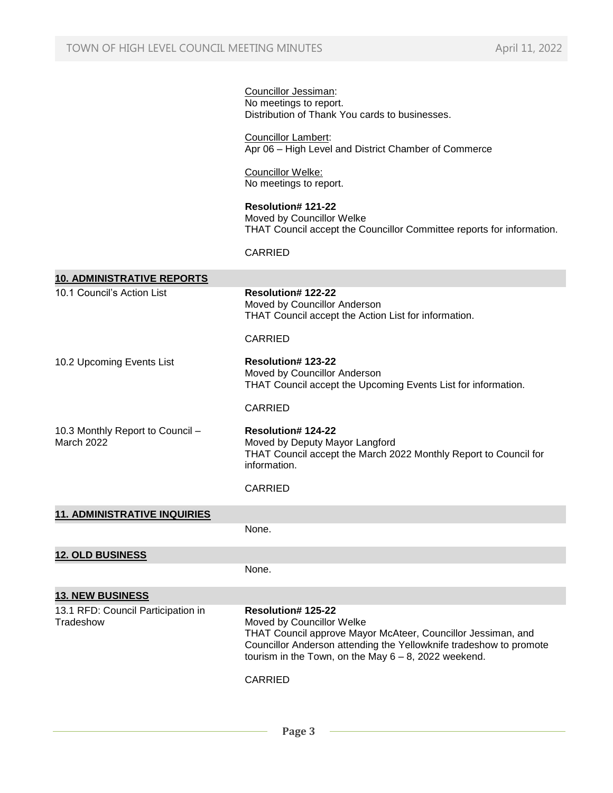|                                                 | Councillor Jessiman:<br>No meetings to report.<br>Distribution of Thank You cards to businesses.                                                                                                                                                                   |
|-------------------------------------------------|--------------------------------------------------------------------------------------------------------------------------------------------------------------------------------------------------------------------------------------------------------------------|
|                                                 | <b>Councillor Lambert:</b><br>Apr 06 - High Level and District Chamber of Commerce                                                                                                                                                                                 |
|                                                 | Councillor Welke:<br>No meetings to report.                                                                                                                                                                                                                        |
|                                                 | Resolution# 121-22<br>Moved by Councillor Welke<br>THAT Council accept the Councillor Committee reports for information.                                                                                                                                           |
|                                                 | <b>CARRIED</b>                                                                                                                                                                                                                                                     |
| <b>10. ADMINISTRATIVE REPORTS</b>               |                                                                                                                                                                                                                                                                    |
| 10.1 Council's Action List                      | <b>Resolution#122-22</b><br>Moved by Councillor Anderson<br>THAT Council accept the Action List for information.                                                                                                                                                   |
|                                                 | <b>CARRIED</b>                                                                                                                                                                                                                                                     |
| 10.2 Upcoming Events List                       | Resolution# 123-22<br>Moved by Councillor Anderson<br>THAT Council accept the Upcoming Events List for information.                                                                                                                                                |
|                                                 | <b>CARRIED</b>                                                                                                                                                                                                                                                     |
| 10.3 Monthly Report to Council -<br>March 2022  | <b>Resolution#124-22</b><br>Moved by Deputy Mayor Langford<br>THAT Council accept the March 2022 Monthly Report to Council for<br>information.                                                                                                                     |
|                                                 | <b>CARRIED</b>                                                                                                                                                                                                                                                     |
| <b>11. ADMINISTRATIVE INQUIRIES</b>             |                                                                                                                                                                                                                                                                    |
|                                                 | None.                                                                                                                                                                                                                                                              |
| <b>12. OLD BUSINESS</b>                         |                                                                                                                                                                                                                                                                    |
|                                                 | None.                                                                                                                                                                                                                                                              |
| <b>13. NEW BUSINESS</b>                         |                                                                                                                                                                                                                                                                    |
| 13.1 RFD: Council Participation in<br>Tradeshow | Resolution# 125-22<br>Moved by Councillor Welke<br>THAT Council approve Mayor McAteer, Councillor Jessiman, and<br>Councillor Anderson attending the Yellowknife tradeshow to promote<br>tourism in the Town, on the May $6 - 8$ , 2022 weekend.<br><b>CARRIED</b> |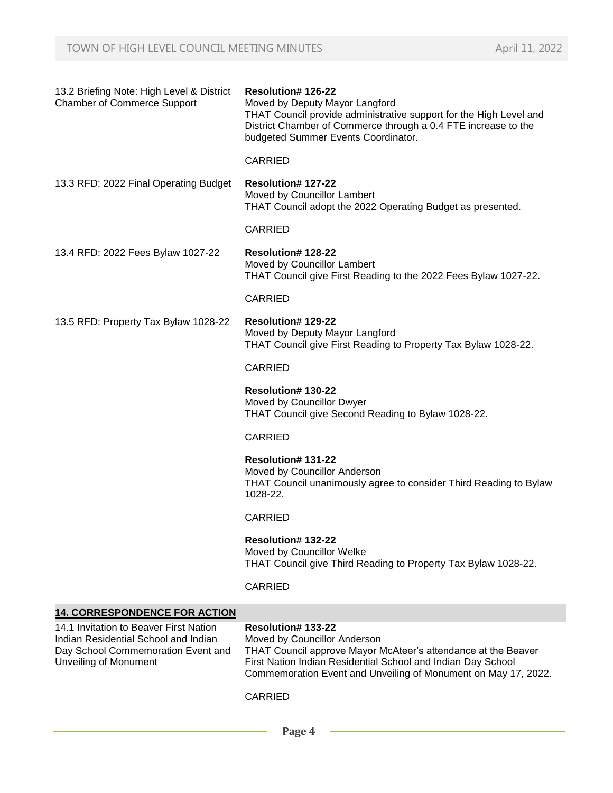| 13.2 Briefing Note: High Level & District<br><b>Chamber of Commerce Support</b>                                                                      | <b>Resolution#126-22</b><br>Moved by Deputy Mayor Langford<br>THAT Council provide administrative support for the High Level and<br>District Chamber of Commerce through a 0.4 FTE increase to the<br>budgeted Summer Events Coordinator.             |
|------------------------------------------------------------------------------------------------------------------------------------------------------|-------------------------------------------------------------------------------------------------------------------------------------------------------------------------------------------------------------------------------------------------------|
|                                                                                                                                                      | <b>CARRIED</b>                                                                                                                                                                                                                                        |
| 13.3 RFD: 2022 Final Operating Budget                                                                                                                | <b>Resolution# 127-22</b><br>Moved by Councillor Lambert<br>THAT Council adopt the 2022 Operating Budget as presented.                                                                                                                                |
|                                                                                                                                                      | <b>CARRIED</b>                                                                                                                                                                                                                                        |
| 13.4 RFD: 2022 Fees Bylaw 1027-22                                                                                                                    | <b>Resolution# 128-22</b><br>Moved by Councillor Lambert<br>THAT Council give First Reading to the 2022 Fees Bylaw 1027-22.                                                                                                                           |
|                                                                                                                                                      | <b>CARRIED</b>                                                                                                                                                                                                                                        |
| 13.5 RFD: Property Tax Bylaw 1028-22                                                                                                                 | <b>Resolution# 129-22</b><br>Moved by Deputy Mayor Langford<br>THAT Council give First Reading to Property Tax Bylaw 1028-22.                                                                                                                         |
|                                                                                                                                                      | <b>CARRIED</b>                                                                                                                                                                                                                                        |
|                                                                                                                                                      | Resolution# 130-22<br>Moved by Councillor Dwyer<br>THAT Council give Second Reading to Bylaw 1028-22.                                                                                                                                                 |
|                                                                                                                                                      | <b>CARRIED</b>                                                                                                                                                                                                                                        |
|                                                                                                                                                      | <b>Resolution#131-22</b><br>Moved by Councillor Anderson<br>THAT Council unanimously agree to consider Third Reading to Bylaw<br>1028-22.                                                                                                             |
|                                                                                                                                                      | <b>CARRIED</b>                                                                                                                                                                                                                                        |
|                                                                                                                                                      | <b>Resolution#132-22</b><br>Moved by Councillor Welke<br>THAT Council give Third Reading to Property Tax Bylaw 1028-22.                                                                                                                               |
|                                                                                                                                                      | <b>CARRIED</b>                                                                                                                                                                                                                                        |
| <b>14. CORRESPONDENCE FOR ACTION</b>                                                                                                                 |                                                                                                                                                                                                                                                       |
| 14.1 Invitation to Beaver First Nation<br>Indian Residential School and Indian<br>Day School Commemoration Event and<br><b>Unveiling of Monument</b> | Resolution# 133-22<br>Moved by Councillor Anderson<br>THAT Council approve Mayor McAteer's attendance at the Beaver<br>First Nation Indian Residential School and Indian Day School<br>Commemoration Event and Unveiling of Monument on May 17, 2022. |

CARRIED

 **Page 4**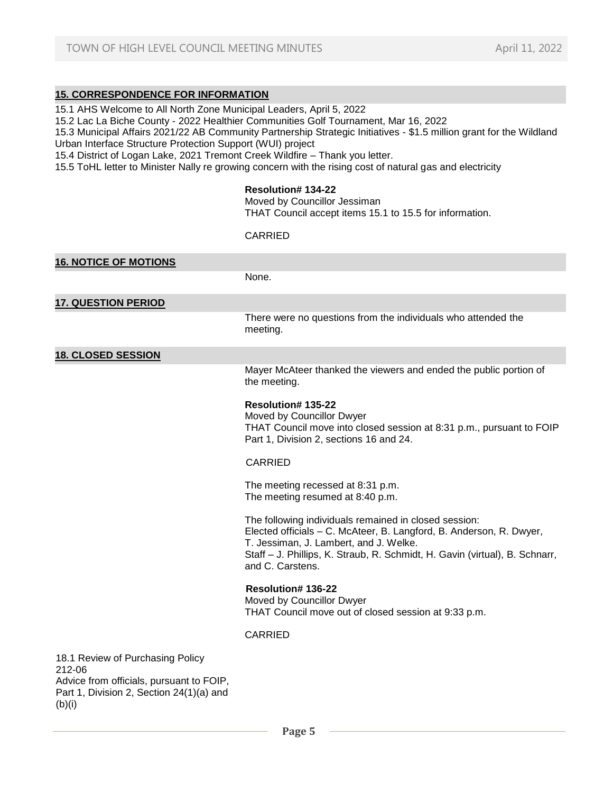## **15. CORRESPONDENCE FOR INFORMATION**

- 15.1 AHS Welcome to All North Zone Municipal Leaders, April 5, 2022
- 15.2 Lac La Biche County 2022 Healthier Communities Golf Tournament, Mar 16, 2022

15.3 Municipal Affairs 2021/22 AB Community Partnership Strategic Initiatives - \$1.5 million grant for the Wildland Urban Interface Structure Protection Support (WUI) project

15.4 District of Logan Lake, 2021 Tremont Creek Wildfire – Thank you letter.

15.5 ToHL letter to Minister Nally re growing concern with the rising cost of natural gas and electricity

#### **Resolution# 134-22**

Moved by Councillor Jessiman

THAT Council accept items 15.1 to 15.5 for information.

#### CARRIED

| <b>16. NOTICE OF MOTIONS</b>                                                                                                     |                                                                                                                                                                                                                                                                           |
|----------------------------------------------------------------------------------------------------------------------------------|---------------------------------------------------------------------------------------------------------------------------------------------------------------------------------------------------------------------------------------------------------------------------|
|                                                                                                                                  | None.                                                                                                                                                                                                                                                                     |
| <b>17. QUESTION PERIOD</b>                                                                                                       |                                                                                                                                                                                                                                                                           |
|                                                                                                                                  | There were no questions from the individuals who attended the<br>meeting.                                                                                                                                                                                                 |
| <b>18. CLOSED SESSION</b>                                                                                                        |                                                                                                                                                                                                                                                                           |
|                                                                                                                                  | Mayer McAteer thanked the viewers and ended the public portion of<br>the meeting.                                                                                                                                                                                         |
|                                                                                                                                  | <b>Resolution#135-22</b><br>Moved by Councillor Dwyer<br>THAT Council move into closed session at 8:31 p.m., pursuant to FOIP<br>Part 1, Division 2, sections 16 and 24.                                                                                                  |
|                                                                                                                                  | <b>CARRIED</b>                                                                                                                                                                                                                                                            |
|                                                                                                                                  | The meeting recessed at 8:31 p.m.<br>The meeting resumed at 8:40 p.m.                                                                                                                                                                                                     |
|                                                                                                                                  | The following individuals remained in closed session:<br>Elected officials - C. McAteer, B. Langford, B. Anderson, R. Dwyer,<br>T. Jessiman, J. Lambert, and J. Welke.<br>Staff - J. Phillips, K. Straub, R. Schmidt, H. Gavin (virtual), B. Schnarr,<br>and C. Carstens. |
|                                                                                                                                  | <b>Resolution#136-22</b><br>Moved by Councillor Dwyer<br>THAT Council move out of closed session at 9:33 p.m.                                                                                                                                                             |
|                                                                                                                                  | <b>CARRIED</b>                                                                                                                                                                                                                                                            |
| 18.1 Review of Purchasing Policy<br>212-06<br>Advice from officials, pursuant to FOIP,<br>Part 1 Division 2 Section 24(1)(a) and |                                                                                                                                                                                                                                                                           |

 $Z$ , Section  $Z$ 4(1)(a) and (b)(i)